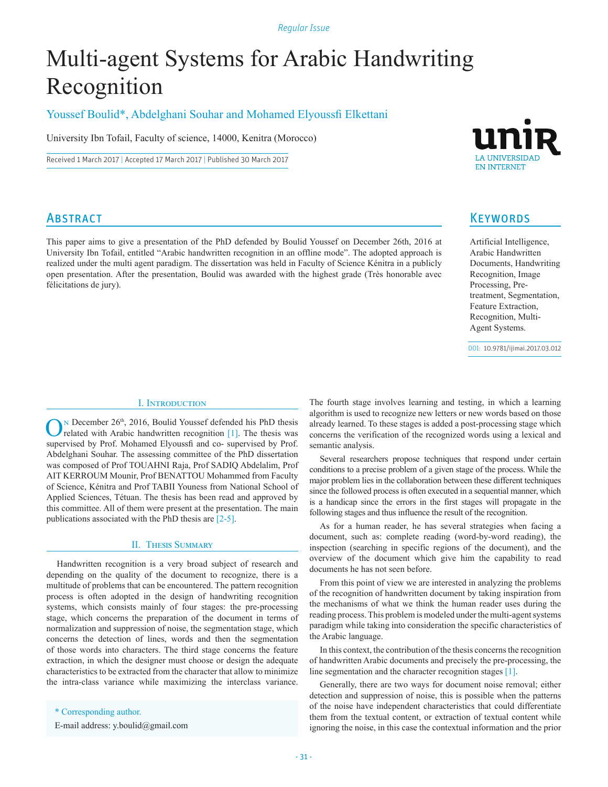#### *Regular Issue*

# Multi-agent Systems for Arabic Handwriting Recognition

## Youssef Boulid\*, Abdelghani Souhar and Mohamed Elyoussfi Elkettani

University Ibn Tofail, Faculty of science, 14000, Kenitra (Morocco)

Received 1 March 2017 | Accepted 17 March 2017 | Published 30 March 2017

## **ABSTRACT**

This paper aims to give a presentation of the PhD defended by Boulid Youssef on December 26th, 2016 at University Ibn Tofail, entitled "Arabic handwritten recognition in an offline mode". The adopted approach is realized under the multi agent paradigm. The dissertation was held in Faculty of Science Kénitra in a publicly open presentation. After the presentation, Boulid was awarded with the highest grade (Très honorable avec félicitations de jury).



## **KEYWORDS**

Artificial Intelligence, Arabic Handwritten Documents, Handwriting Recognition, Image Processing, Pretreatment, Segmentation, Feature Extraction, Recognition, Multi-Agent Systems.

DOI: 10.9781/ijimai.2017.03.012

### I. Introduction

 $\bigodot$ <sup>N</sup> December 26<sup>th</sup>, 2016, Boulid Youssef defended his PhD thesis vas related with Arabic handwritten recognition [1]. The thesis was supervised by Prof. Mohamed Elyoussfi and co- supervised by Prof. Abdelghani Souhar. The assessing committee of the PhD dissertation was composed of Prof TOUAHNI Raja, Prof SADIQ Abdelalim, Prof AIT KERROUM Mounir, Prof BENATTOU Mohammed from Faculty of Science, Kénitra and Prof TABII Youness from National School of Applied Sciences, Tétuan. The thesis has been read and approved by this committee. All of them were present at the presentation. The main publications associated with the PhD thesis are [2-5].

#### II. Thesis Summary

Handwritten recognition is a very broad subject of research and depending on the quality of the document to recognize, there is a multitude of problems that can be encountered. The pattern recognition process is often adopted in the design of handwriting recognition systems, which consists mainly of four stages: the pre-processing stage, which concerns the preparation of the document in terms of normalization and suppression of noise, the segmentation stage, which concerns the detection of lines, words and then the segmentation of those words into characters. The third stage concerns the feature extraction, in which the designer must choose or design the adequate characteristics to be extracted from the character that allow to minimize the intra-class variance while maximizing the interclass variance.

\* Corresponding author.

E-mail address: y.boulid@gmail.com

The fourth stage involves learning and testing, in which a learning algorithm is used to recognize new letters or new words based on those already learned. To these stages is added a post-processing stage which concerns the verification of the recognized words using a lexical and semantic analysis.

Several researchers propose techniques that respond under certain conditions to a precise problem of a given stage of the process. While the major problem lies in the collaboration between these different techniques since the followed process is often executed in a sequential manner, which is a handicap since the errors in the first stages will propagate in the following stages and thus influence the result of the recognition.

As for a human reader, he has several strategies when facing a document, such as: complete reading (word-by-word reading), the inspection (searching in specific regions of the document), and the overview of the document which give him the capability to read documents he has not seen before.

From this point of view we are interested in analyzing the problems of the recognition of handwritten document by taking inspiration from the mechanisms of what we think the human reader uses during the reading process. This problem is modeled under the multi-agent systems paradigm while taking into consideration the specific characteristics of the Arabic language.

In this context, the contribution of the thesis concerns the recognition of handwritten Arabic documents and precisely the pre-processing, the line segmentation and the character recognition stages [1].

Generally, there are two ways for document noise removal; either detection and suppression of noise, this is possible when the patterns of the noise have independent characteristics that could differentiate them from the textual content, or extraction of textual content while ignoring the noise, in this case the contextual information and the prior